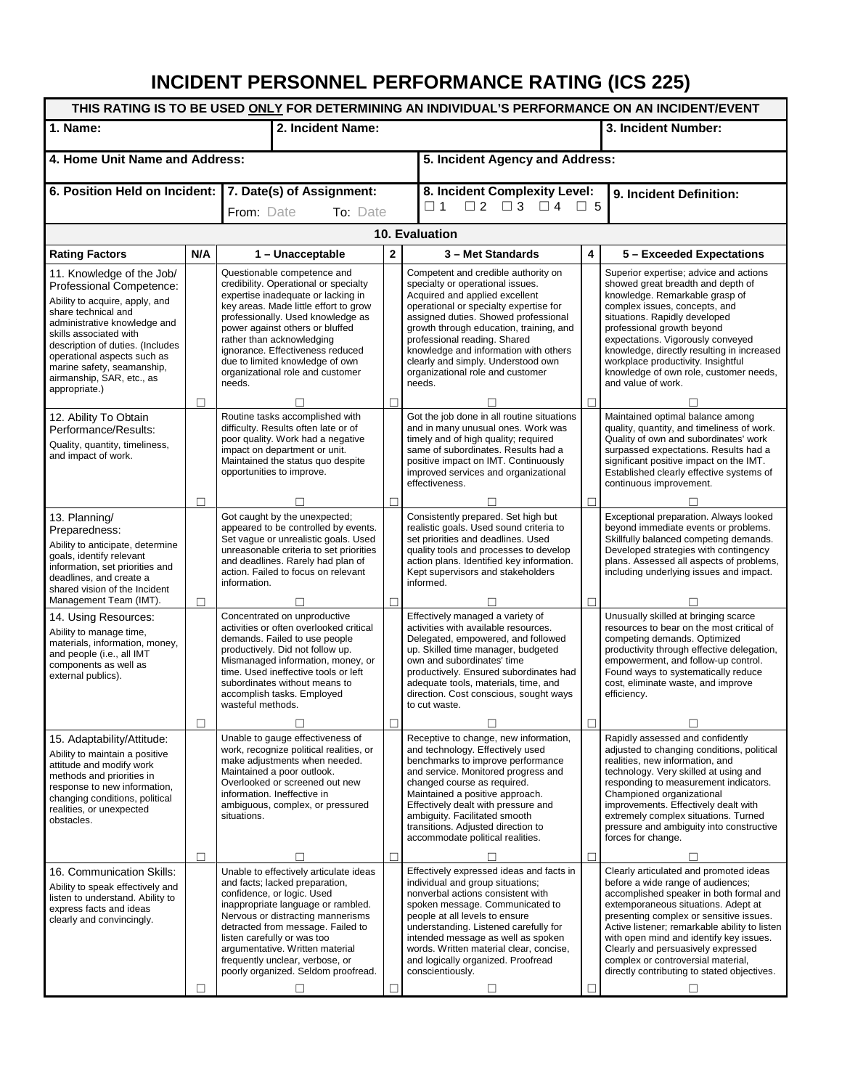## **INCIDENT PERSONNEL PERFORMANCE RATING (ICS 225)**

| THIS RATING IS TO BE USED ONLY FOR DETERMINING AN INDIVIDUAL'S PERFORMANCE ON AN INCIDENT/EVENT                                                                                                                                                                                                                         |              |                                                                                                                                                                                                                                                                                                                                                                               |   |                                                                                                                                                                                                                                                                                                                                                                                                     |                         |                                                                                                                                                                                                                                                                                                                                                                                                                                           |  |  |  |  |  |
|-------------------------------------------------------------------------------------------------------------------------------------------------------------------------------------------------------------------------------------------------------------------------------------------------------------------------|--------------|-------------------------------------------------------------------------------------------------------------------------------------------------------------------------------------------------------------------------------------------------------------------------------------------------------------------------------------------------------------------------------|---|-----------------------------------------------------------------------------------------------------------------------------------------------------------------------------------------------------------------------------------------------------------------------------------------------------------------------------------------------------------------------------------------------------|-------------------------|-------------------------------------------------------------------------------------------------------------------------------------------------------------------------------------------------------------------------------------------------------------------------------------------------------------------------------------------------------------------------------------------------------------------------------------------|--|--|--|--|--|
| 1. Name:                                                                                                                                                                                                                                                                                                                |              | 2. Incident Name:                                                                                                                                                                                                                                                                                                                                                             |   |                                                                                                                                                                                                                                                                                                                                                                                                     |                         | 3. Incident Number:                                                                                                                                                                                                                                                                                                                                                                                                                       |  |  |  |  |  |
| 4. Home Unit Name and Address:                                                                                                                                                                                                                                                                                          |              | 5. Incident Agency and Address:                                                                                                                                                                                                                                                                                                                                               |   |                                                                                                                                                                                                                                                                                                                                                                                                     |                         |                                                                                                                                                                                                                                                                                                                                                                                                                                           |  |  |  |  |  |
| 6. Position Held on Incident: 7. Date(s) of Assignment:                                                                                                                                                                                                                                                                 |              | From: Date<br>To: Date                                                                                                                                                                                                                                                                                                                                                        |   | 8. Incident Complexity Level:<br>$\Box$ 1 $\Box$ 2 $\Box$ 3 $\Box$ 4 $\Box$ 5                                                                                                                                                                                                                                                                                                                       |                         | 9. Incident Definition:                                                                                                                                                                                                                                                                                                                                                                                                                   |  |  |  |  |  |
| 10. Evaluation                                                                                                                                                                                                                                                                                                          |              |                                                                                                                                                                                                                                                                                                                                                                               |   |                                                                                                                                                                                                                                                                                                                                                                                                     |                         |                                                                                                                                                                                                                                                                                                                                                                                                                                           |  |  |  |  |  |
| <b>Rating Factors</b>                                                                                                                                                                                                                                                                                                   | N/A          | 1 - Unacceptable                                                                                                                                                                                                                                                                                                                                                              | 2 | 3 - Met Standards                                                                                                                                                                                                                                                                                                                                                                                   | $\overline{\mathbf{4}}$ | 5 - Exceeded Expectations                                                                                                                                                                                                                                                                                                                                                                                                                 |  |  |  |  |  |
| 11. Knowledge of the Job/<br>Professional Competence:<br>Ability to acquire, apply, and<br>share technical and<br>administrative knowledge and<br>skills associated with<br>description of duties. (Includes<br>operational aspects such as<br>marine safety, seamanship,<br>airmanship, SAR, etc., as<br>appropriate.) |              | Questionable competence and<br>credibility. Operational or specialty<br>expertise inadequate or lacking in<br>key areas. Made little effort to grow<br>professionally. Used knowledge as<br>power against others or bluffed<br>rather than acknowledging<br>ignorance. Effectiveness reduced<br>due to limited knowledge of own<br>organizational role and customer<br>needs. |   | Competent and credible authority on<br>specialty or operational issues.<br>Acquired and applied excellent<br>operational or specialty expertise for<br>assigned duties. Showed professional<br>growth through education, training, and<br>professional reading. Shared<br>knowledge and information with others<br>clearly and simply. Understood own<br>organizational role and customer<br>needs. |                         | Superior expertise; advice and actions<br>showed great breadth and depth of<br>knowledge. Remarkable grasp of<br>complex issues, concepts, and<br>situations. Rapidly developed<br>professional growth beyond<br>expectations. Vigorously conveyed<br>knowledge, directly resulting in increased<br>workplace productivity. Insightful<br>knowledge of own role, customer needs,<br>and value of work.                                    |  |  |  |  |  |
|                                                                                                                                                                                                                                                                                                                         | □            |                                                                                                                                                                                                                                                                                                                                                                               | П |                                                                                                                                                                                                                                                                                                                                                                                                     | $\Box$                  |                                                                                                                                                                                                                                                                                                                                                                                                                                           |  |  |  |  |  |
| 12. Ability To Obtain<br>Performance/Results:<br>Quality, quantity, timeliness,<br>and impact of work.                                                                                                                                                                                                                  |              | Routine tasks accomplished with<br>difficulty. Results often late or of<br>poor quality. Work had a negative<br>impact on department or unit.<br>Maintained the status quo despite<br>opportunities to improve.                                                                                                                                                               |   | Got the job done in all routine situations<br>and in many unusual ones. Work was<br>timely and of high quality; required<br>same of subordinates. Results had a<br>positive impact on IMT. Continuously<br>improved services and organizational<br>effectiveness.                                                                                                                                   |                         | Maintained optimal balance among<br>quality, quantity, and timeliness of work.<br>Quality of own and subordinates' work<br>surpassed expectations. Results had a<br>significant positive impact on the IMT.<br>Established clearly effective systems of<br>continuous improvement.                                                                                                                                                        |  |  |  |  |  |
|                                                                                                                                                                                                                                                                                                                         | П            |                                                                                                                                                                                                                                                                                                                                                                               | П |                                                                                                                                                                                                                                                                                                                                                                                                     | П.                      |                                                                                                                                                                                                                                                                                                                                                                                                                                           |  |  |  |  |  |
| 13. Planning/<br>Preparedness:<br>Ability to anticipate, determine<br>goals, identify relevant<br>information, set priorities and<br>deadlines, and create a<br>shared vision of the Incident                                                                                                                           |              | Got caught by the unexpected;<br>appeared to be controlled by events.<br>Set vague or unrealistic goals. Used<br>unreasonable criteria to set priorities<br>and deadlines. Rarely had plan of<br>action. Failed to focus on relevant<br>information.                                                                                                                          |   | Consistently prepared. Set high but<br>realistic goals. Used sound criteria to<br>set priorities and deadlines. Used<br>quality tools and processes to develop<br>action plans. Identified key information.<br>Kept supervisors and stakeholders<br>informed.                                                                                                                                       |                         | Exceptional preparation. Always looked<br>beyond immediate events or problems.<br>Skillfully balanced competing demands.<br>Developed strategies with contingency<br>plans. Assessed all aspects of problems,<br>including underlying issues and impact.                                                                                                                                                                                  |  |  |  |  |  |
| Management Team (IMT).                                                                                                                                                                                                                                                                                                  | П            |                                                                                                                                                                                                                                                                                                                                                                               | П |                                                                                                                                                                                                                                                                                                                                                                                                     | П                       |                                                                                                                                                                                                                                                                                                                                                                                                                                           |  |  |  |  |  |
| 14. Using Resources:<br>Ability to manage time,<br>materials, information, money,<br>and people (i.e., all IMT<br>components as well as<br>external publics).                                                                                                                                                           |              | Concentrated on unproductive<br>activities or often overlooked critical<br>demands. Failed to use people<br>productively. Did not follow up.<br>Mismanaged information, money, or<br>time. Used ineffective tools or left<br>subordinates without means to<br>accomplish tasks. Employed<br>wasteful methods.                                                                 |   | Effectively managed a variety of<br>activities with available resources.<br>Delegated, empowered, and followed<br>up. Skilled time manager, budgeted<br>own and subordinates' time<br>productively. Ensured subordinates had<br>adequate tools, materials, time, and<br>direction. Cost conscious, sought ways<br>to cut waste.                                                                     |                         | Unusually skilled at bringing scarce<br>resources to bear on the most critical of<br>competing demands. Optimized<br>productivity through effective delegation,<br>empowerment, and follow-up control.<br>Found ways to systematically reduce<br>cost, eliminate waste, and improve<br>efficiency.                                                                                                                                        |  |  |  |  |  |
|                                                                                                                                                                                                                                                                                                                         | $\mathsf{L}$ |                                                                                                                                                                                                                                                                                                                                                                               | П |                                                                                                                                                                                                                                                                                                                                                                                                     | П                       |                                                                                                                                                                                                                                                                                                                                                                                                                                           |  |  |  |  |  |
| 15. Adaptability/Attitude:<br>Ability to maintain a positive<br>attitude and modify work<br>methods and priorities in<br>response to new information,<br>changing conditions, political<br>realities, or unexpected<br>obstacles.                                                                                       |              | Unable to gauge effectiveness of<br>work, recognize political realities, or<br>make adjustments when needed.<br>Maintained a poor outlook.<br>Overlooked or screened out new<br>information. Ineffective in<br>ambiguous, complex, or pressured<br>situations.                                                                                                                |   | Receptive to change, new information,<br>and technology. Effectively used<br>benchmarks to improve performance<br>and service. Monitored progress and<br>changed course as required.<br>Maintained a positive approach.<br>Effectively dealt with pressure and<br>ambiquity. Facilitated smooth<br>transitions. Adjusted direction to<br>accommodate political realities.                           |                         | Rapidly assessed and confidently<br>adjusted to changing conditions, political<br>realities, new information, and<br>technology. Very skilled at using and<br>responding to measurement indicators.<br>Championed organizational<br>improvements. Effectively dealt with<br>extremely complex situations. Turned<br>pressure and ambiguity into constructive<br>forces for change.                                                        |  |  |  |  |  |
|                                                                                                                                                                                                                                                                                                                         | п            |                                                                                                                                                                                                                                                                                                                                                                               | П |                                                                                                                                                                                                                                                                                                                                                                                                     | п                       | п                                                                                                                                                                                                                                                                                                                                                                                                                                         |  |  |  |  |  |
| 16. Communication Skills:<br>Ability to speak effectively and<br>listen to understand. Ability to<br>express facts and ideas<br>clearly and convincingly.                                                                                                                                                               | П            | Unable to effectively articulate ideas<br>and facts; lacked preparation,<br>confidence, or logic. Used<br>inappropriate language or rambled.<br>Nervous or distracting mannerisms<br>detracted from message. Failed to<br>listen carefully or was too<br>argumentative. Written material<br>frequently unclear, verbose, or<br>poorly organized. Seldom proofread.<br>П       | п | Effectively expressed ideas and facts in<br>individual and group situations;<br>nonverbal actions consistent with<br>spoken message. Communicated to<br>people at all levels to ensure<br>understanding. Listened carefully for<br>intended message as well as spoken<br>words. Written material clear, concise,<br>and logically organized. Proofread<br>conscientiously.<br>□                     | $\Box$                  | Clearly articulated and promoted ideas<br>before a wide range of audiences;<br>accomplished speaker in both formal and<br>extemporaneous situations. Adept at<br>presenting complex or sensitive issues.<br>Active listener; remarkable ability to listen<br>with open mind and identify key issues.<br>Clearly and persuasively expressed<br>complex or controversial material,<br>directly contributing to stated objectives.<br>$\Box$ |  |  |  |  |  |